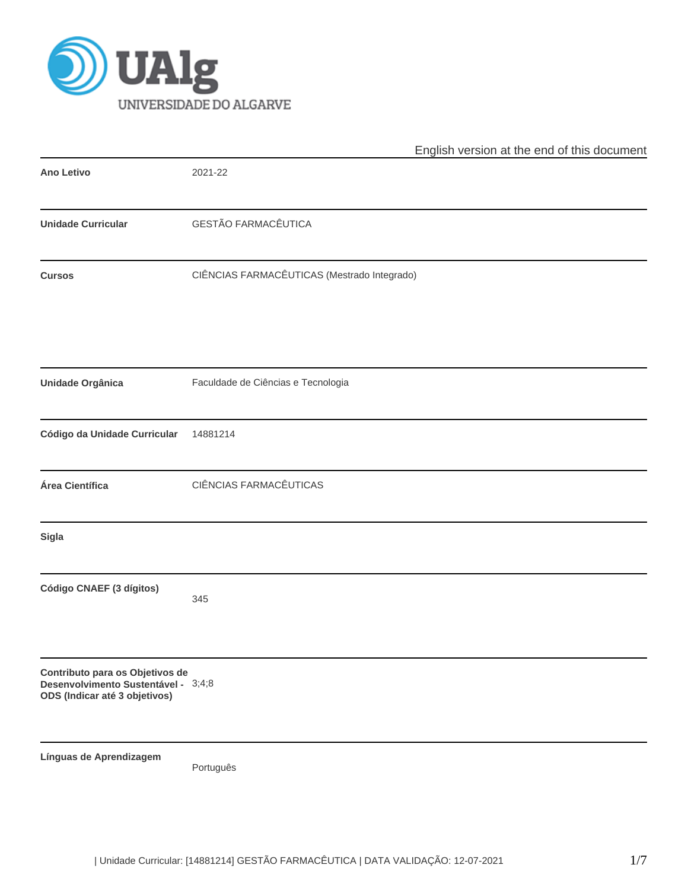

|                                                                                                         | English version at the end of this document |
|---------------------------------------------------------------------------------------------------------|---------------------------------------------|
| <b>Ano Letivo</b>                                                                                       | 2021-22                                     |
| <b>Unidade Curricular</b>                                                                               | GESTÃO FARMACÊUTICA                         |
| <b>Cursos</b>                                                                                           | CIÊNCIAS FARMACÊUTICAS (Mestrado Integrado) |
| Unidade Orgânica                                                                                        | Faculdade de Ciências e Tecnologia          |
| Código da Unidade Curricular                                                                            | 14881214                                    |
| Área Científica                                                                                         | CIÊNCIAS FARMACÊUTICAS                      |
| Sigla                                                                                                   |                                             |
| Código CNAEF (3 dígitos)                                                                                | 345                                         |
| Contributo para os Objetivos de<br>Desenvolvimento Sustentável - 3;4;8<br>ODS (Indicar até 3 objetivos) |                                             |
| Línguas de Aprendizagem                                                                                 | Português                                   |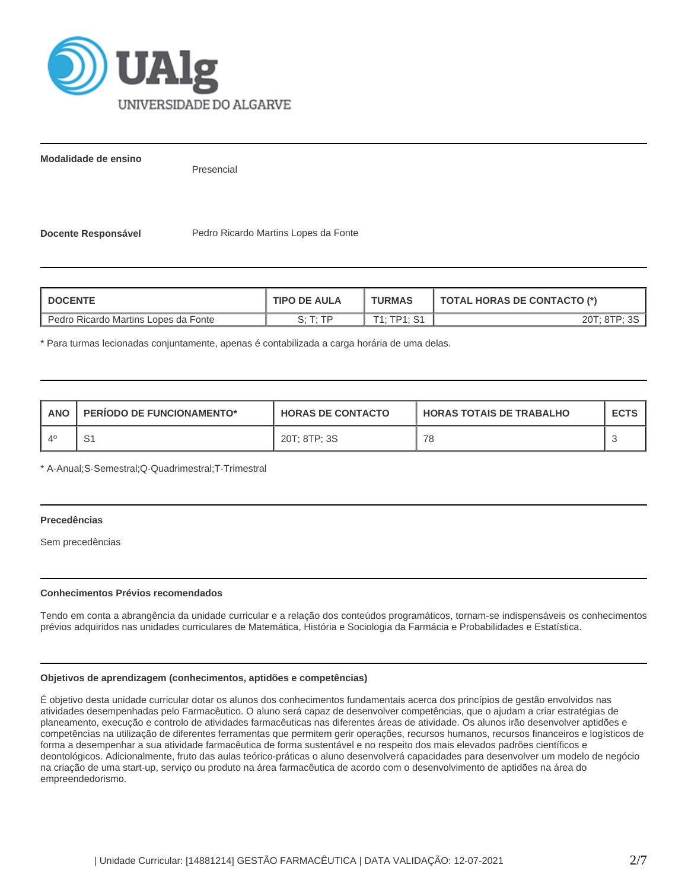

**Modalidade de ensino**

Presencial

**Docente Responsável Pedro Ricardo Martins Lopes da Fonte** 

| <b>DOCENTE</b>                       | <b>TIPO DE AULA</b>        | <b>TURMAS</b> | TOTAL HORAS DE CONTACTO (*) |  |  |
|--------------------------------------|----------------------------|---------------|-----------------------------|--|--|
| Pedro Ricardo Martins Lopes da Fonte | $C \cdot T \cdot TD$<br>U. | T1. TD1. S1   | 20T; 8TP;                   |  |  |

\* Para turmas lecionadas conjuntamente, apenas é contabilizada a carga horária de uma delas.

| <b>ANO</b> | <b>PERIODO DE FUNCIONAMENTO*</b> | <b>HORAS DE CONTACTO</b> | <b>HORAS TOTAIS DE TRABALHO</b> | <b>ECTS</b> |
|------------|----------------------------------|--------------------------|---------------------------------|-------------|
|            |                                  | 20T; 8TP; 3S             | 78                              |             |

\* A-Anual;S-Semestral;Q-Quadrimestral;T-Trimestral

# **Precedências**

Sem precedências

# **Conhecimentos Prévios recomendados**

Tendo em conta a abrangência da unidade curricular e a relação dos conteúdos programáticos, tornam-se indispensáveis os conhecimentos prévios adquiridos nas unidades curriculares de Matemática, História e Sociologia da Farmácia e Probabilidades e Estatística.

#### **Objetivos de aprendizagem (conhecimentos, aptidões e competências)**

É objetivo desta unidade curricular dotar os alunos dos conhecimentos fundamentais acerca dos princípios de gestão envolvidos nas atividades desempenhadas pelo Farmacêutico. O aluno será capaz de desenvolver competências, que o ajudam a criar estratégias de planeamento, execução e controlo de atividades farmacêuticas nas diferentes áreas de atividade. Os alunos irão desenvolver aptidões e competências na utilização de diferentes ferramentas que permitem gerir operações, recursos humanos, recursos financeiros e logísticos de forma a desempenhar a sua atividade farmacêutica de forma sustentável e no respeito dos mais elevados padrões científicos e deontológicos. Adicionalmente, fruto das aulas teórico-práticas o aluno desenvolverá capacidades para desenvolver um modelo de negócio na criação de uma start-up, serviço ou produto na área farmacêutica de acordo com o desenvolvimento de aptidões na área do empreendedorismo.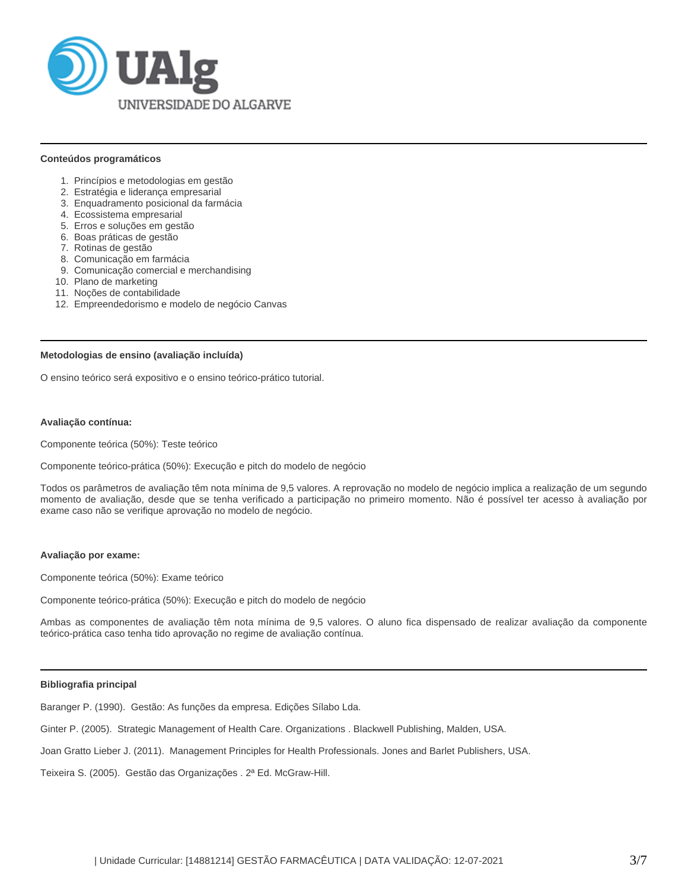

#### **Conteúdos programáticos**

- 1. Princípios e metodologias em gestão
- 2. Estratégia e liderança empresarial
- 3. Enquadramento posicional da farmácia
- 4. Ecossistema empresarial
- 5. Erros e soluções em gestão
- 6. Boas práticas de gestão
- 7. Rotinas de gestão
- 8. Comunicação em farmácia
- 9. Comunicação comercial e merchandising
- 10. Plano de marketing
- 11. Noções de contabilidade
- 12. Empreendedorismo e modelo de negócio Canvas

# **Metodologias de ensino (avaliação incluída)**

O ensino teórico será expositivo e o ensino teórico-prático tutorial.

# **Avaliação contínua:**

Componente teórica (50%): Teste teórico

Componente teórico-prática (50%): Execução e pitch do modelo de negócio

Todos os parâmetros de avaliação têm nota mínima de 9,5 valores. A reprovação no modelo de negócio implica a realização de um segundo momento de avaliação, desde que se tenha verificado a participação no primeiro momento. Não é possível ter acesso à avaliação por exame caso não se verifique aprovação no modelo de negócio.

# **Avaliação por exame:**

Componente teórica (50%): Exame teórico

Componente teórico-prática (50%): Execução e pitch do modelo de negócio

Ambas as componentes de avaliação têm nota mínima de 9,5 valores. O aluno fica dispensado de realizar avaliação da componente teórico-prática caso tenha tido aprovação no regime de avaliação contínua.

#### **Bibliografia principal**

Baranger P. (1990). Gestão: As funções da empresa. Edições Sílabo Lda.

Ginter P. (2005). Strategic Management of Health Care. Organizations . Blackwell Publishing, Malden, USA.

Joan Gratto Lieber J. (2011). Management Principles for Health Professionals. Jones and Barlet Publishers, USA.

Teixeira S. (2005). Gestão das Organizações . 2ª Ed. McGraw-Hill.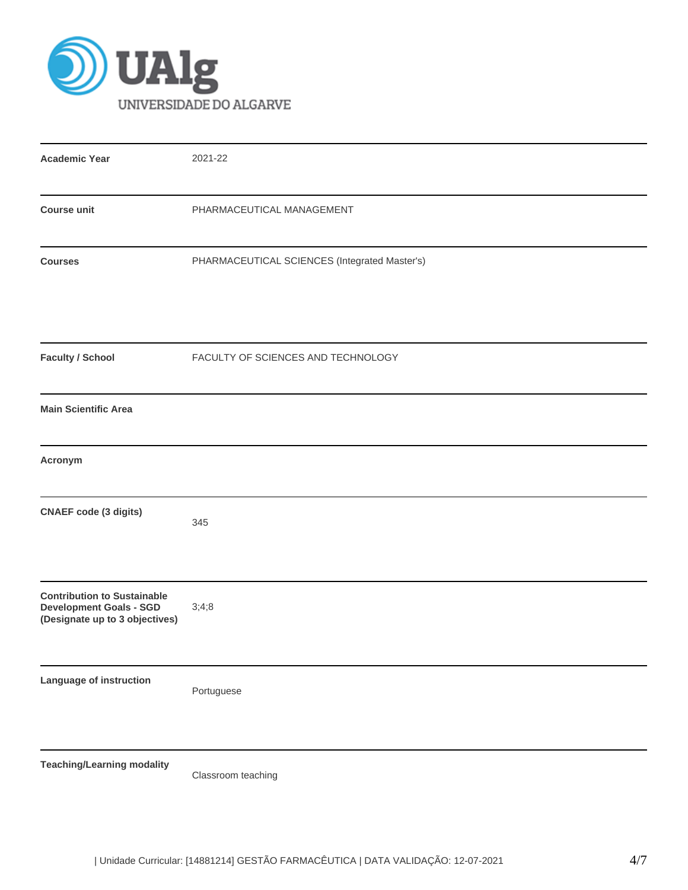

| <b>Academic Year</b>                                                                                   | 2021-22                                       |
|--------------------------------------------------------------------------------------------------------|-----------------------------------------------|
| <b>Course unit</b>                                                                                     | PHARMACEUTICAL MANAGEMENT                     |
| <b>Courses</b>                                                                                         | PHARMACEUTICAL SCIENCES (Integrated Master's) |
| <b>Faculty / School</b>                                                                                | FACULTY OF SCIENCES AND TECHNOLOGY            |
| <b>Main Scientific Area</b>                                                                            |                                               |
| Acronym                                                                                                |                                               |
| <b>CNAEF code (3 digits)</b>                                                                           | 345                                           |
| <b>Contribution to Sustainable</b><br><b>Development Goals - SGD</b><br>(Designate up to 3 objectives) | 3;4;8                                         |
| Language of instruction                                                                                | Portuguese                                    |
| <b>Teaching/Learning modality</b>                                                                      | Classroom teaching                            |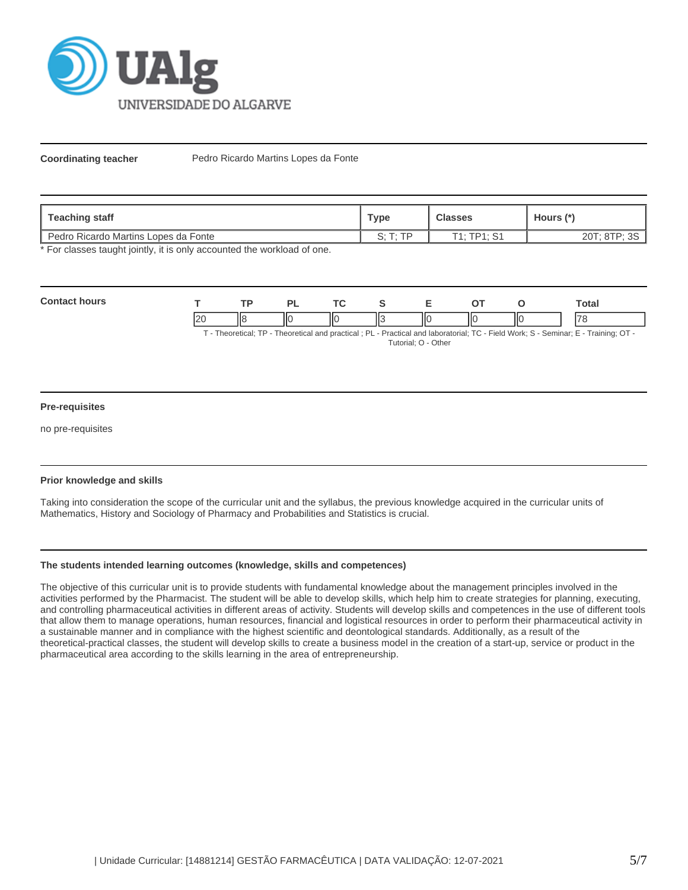

**Coordinating teacher** Pedro Ricardo Martins Lopes da Fonte

| Teaching staff                       | Туре | <b>Classes</b>  | Hours (*)                |  |
|--------------------------------------|------|-----------------|--------------------------|--|
| Pedro Ricardo Martins Lopes da Fonte | ∍.   | T1 · TD1 ·<br>ັ | $20T \cdot 8T$ P.<br>011 |  |

\* For classes taught jointly, it is only accounted the workload of one.

| Cont |             | <b>TD</b> |    | $\mathbf{r}$ | -  |    |    | otal⊺                    |
|------|-------------|-----------|----|--------------|----|----|----|--------------------------|
|      | $\sim$<br>~ | ١Ι٤       | ΠС | ΠС           | ΠО | ΙЮ | НC | $\overline{\phantom{a}}$ |

T - Theoretical; TP - Theoretical and practical ; PL - Practical and laboratorial; TC - Field Work; S - Seminar; E - Training; OT - Tutorial; O - Other

# **Pre-requisites**

no pre-requisites

# **Prior knowledge and skills**

Taking into consideration the scope of the curricular unit and the syllabus, the previous knowledge acquired in the curricular units of Mathematics, History and Sociology of Pharmacy and Probabilities and Statistics is crucial.

# **The students intended learning outcomes (knowledge, skills and competences)**

The objective of this curricular unit is to provide students with fundamental knowledge about the management principles involved in the activities performed by the Pharmacist. The student will be able to develop skills, which help him to create strategies for planning, executing, and controlling pharmaceutical activities in different areas of activity. Students will develop skills and competences in the use of different tools that allow them to manage operations, human resources, financial and logistical resources in order to perform their pharmaceutical activity in a sustainable manner and in compliance with the highest scientific and deontological standards. Additionally, as a result of the theoretical-practical classes, the student will develop skills to create a business model in the creation of a start-up, service or product in the pharmaceutical area according to the skills learning in the area of entrepreneurship.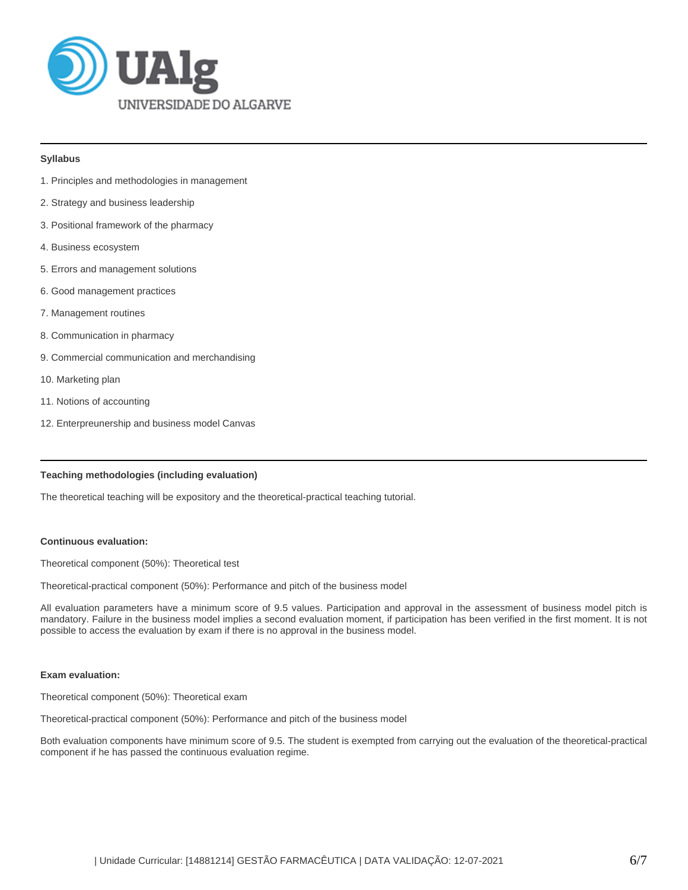

#### **Syllabus**

- 1. Principles and methodologies in management
- 2. Strategy and business leadership
- 3. Positional framework of the pharmacy
- 4. Business ecosystem
- 5. Errors and management solutions
- 6. Good management practices
- 7. Management routines
- 8. Communication in pharmacy
- 9. Commercial communication and merchandising
- 10. Marketing plan
- 11. Notions of accounting
- 12. Enterpreunership and business model Canvas

# **Teaching methodologies (including evaluation)**

The theoretical teaching will be expository and the theoretical-practical teaching tutorial.

#### **Continuous evaluation:**

Theoretical component (50%): Theoretical test

Theoretical-practical component (50%): Performance and pitch of the business model

All evaluation parameters have a minimum score of 9.5 values. Participation and approval in the assessment of business model pitch is mandatory. Failure in the business model implies a second evaluation moment, if participation has been verified in the first moment. It is not possible to access the evaluation by exam if there is no approval in the business model.

#### **Exam evaluation:**

Theoretical component (50%): Theoretical exam

Theoretical-practical component (50%): Performance and pitch of the business model

Both evaluation components have minimum score of 9.5. The student is exempted from carrying out the evaluation of the theoretical-practical component if he has passed the continuous evaluation regime.